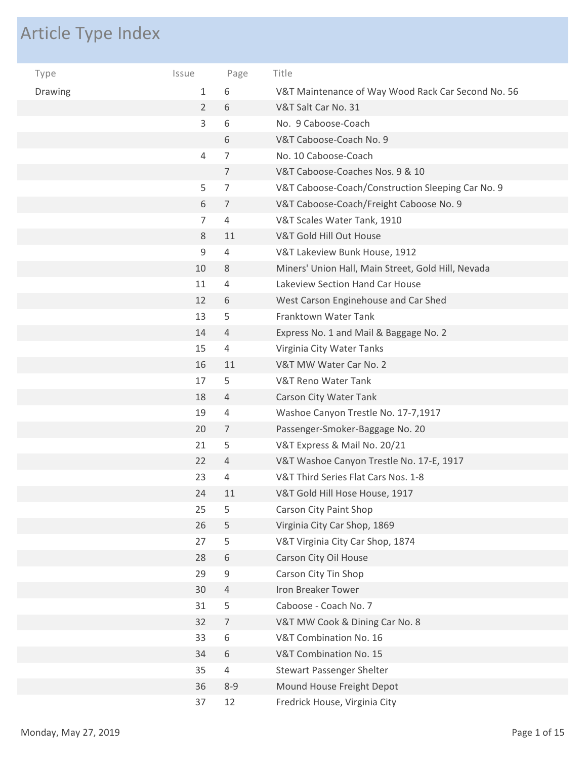## Article Type Index

| Type    | Issue          | Page           | Title                                              |
|---------|----------------|----------------|----------------------------------------------------|
| Drawing | 1              | 6              | V&T Maintenance of Way Wood Rack Car Second No. 56 |
|         | $\overline{2}$ | 6              | V&T Salt Car No. 31                                |
|         | 3              | 6              | No. 9 Caboose-Coach                                |
|         |                | 6              | V&T Caboose-Coach No. 9                            |
|         | 4              | 7              | No. 10 Caboose-Coach                               |
|         |                | 7              | V&T Caboose-Coaches Nos. 9 & 10                    |
|         | 5              | 7              | V&T Caboose-Coach/Construction Sleeping Car No. 9  |
|         | 6              | 7              | V&T Caboose-Coach/Freight Caboose No. 9            |
|         | $\overline{7}$ | 4              | V&T Scales Water Tank, 1910                        |
|         | 8              | 11             | V&T Gold Hill Out House                            |
|         | 9              | 4              | V&T Lakeview Bunk House, 1912                      |
|         | 10             | 8              | Miners' Union Hall, Main Street, Gold Hill, Nevada |
|         | 11             | 4              | Lakeview Section Hand Car House                    |
|         | 12             | 6              | West Carson Enginehouse and Car Shed               |
|         | 13             | 5              | Franktown Water Tank                               |
|         | 14             | 4              | Express No. 1 and Mail & Baggage No. 2             |
|         | 15             | 4              | Virginia City Water Tanks                          |
|         | 16             | 11             | V&T MW Water Car No. 2                             |
|         | 17             | 5              | <b>V&amp;T Reno Water Tank</b>                     |
|         | 18             | 4              | Carson City Water Tank                             |
|         | 19             | 4              | Washoe Canyon Trestle No. 17-7,1917                |
|         | 20             | 7              | Passenger-Smoker-Baggage No. 20                    |
|         | 21             | 5              | V&T Express & Mail No. 20/21                       |
|         | 22             | 4              | V&T Washoe Canyon Trestle No. 17-E, 1917           |
|         | 23             | 4              | V&T Third Series Flat Cars Nos. 1-8                |
|         | 24             | 11             | V&T Gold Hill Hose House, 1917                     |
|         | 25             | 5              | Carson City Paint Shop                             |
|         | 26             | 5              | Virginia City Car Shop, 1869                       |
|         | 27             | 5              | V&T Virginia City Car Shop, 1874                   |
|         | 28             | 6              | Carson City Oil House                              |
|         | 29             | 9              | Carson City Tin Shop                               |
|         | 30             | 4              | Iron Breaker Tower                                 |
|         | 31             | 5              | Caboose - Coach No. 7                              |
|         | 32             | $\overline{7}$ | V&T MW Cook & Dining Car No. 8                     |
|         | 33             | 6              | V&T Combination No. 16                             |
|         | 34             | 6              | V&T Combination No. 15                             |
|         | 35             | 4              | <b>Stewart Passenger Shelter</b>                   |
|         | 36             | $8 - 9$        | Mound House Freight Depot                          |
|         | 37             | 12             | Fredrick House, Virginia City                      |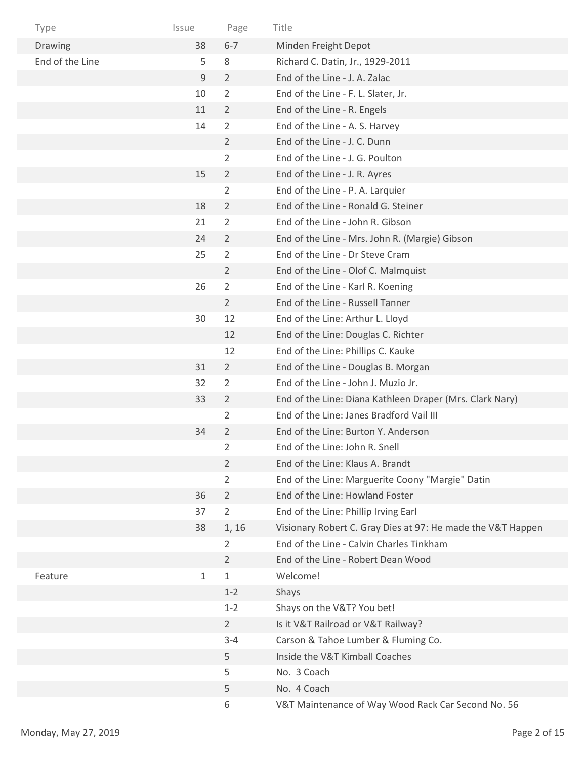| Type            | Issue | Page           | Title                                                       |
|-----------------|-------|----------------|-------------------------------------------------------------|
| Drawing         | 38    | $6 - 7$        | Minden Freight Depot                                        |
| End of the Line | 5     | 8              | Richard C. Datin, Jr., 1929-2011                            |
|                 | 9     | $\overline{2}$ | End of the Line - J. A. Zalac                               |
|                 | 10    | 2              | End of the Line - F. L. Slater, Jr.                         |
|                 | 11    | 2              | End of the Line - R. Engels                                 |
|                 | 14    | 2              | End of the Line - A. S. Harvey                              |
|                 |       | $\mathbf{2}$   | End of the Line - J. C. Dunn                                |
|                 |       | 2              | End of the Line - J. G. Poulton                             |
|                 | 15    | $\overline{2}$ | End of the Line - J. R. Ayres                               |
|                 |       | 2              | End of the Line - P. A. Larquier                            |
|                 | 18    | $\overline{2}$ | End of the Line - Ronald G. Steiner                         |
|                 | 21    | $\overline{2}$ | End of the Line - John R. Gibson                            |
|                 | 24    | $\overline{2}$ | End of the Line - Mrs. John R. (Margie) Gibson              |
|                 | 25    | $\overline{2}$ | End of the Line - Dr Steve Cram                             |
|                 |       | $\overline{2}$ | End of the Line - Olof C. Malmquist                         |
|                 | 26    | 2              | End of the Line - Karl R. Koening                           |
|                 |       | $\overline{2}$ | End of the Line - Russell Tanner                            |
|                 | 30    | 12             | End of the Line: Arthur L. Lloyd                            |
|                 |       | 12             | End of the Line: Douglas C. Richter                         |
|                 |       | 12             | End of the Line: Phillips C. Kauke                          |
|                 | 31    | $\overline{2}$ | End of the Line - Douglas B. Morgan                         |
|                 | 32    | $\overline{2}$ | End of the Line - John J. Muzio Jr.                         |
|                 | 33    | 2              | End of the Line: Diana Kathleen Draper (Mrs. Clark Nary)    |
|                 |       | 2              | End of the Line: Janes Bradford Vail III                    |
|                 | 34    | 2              | End of the Line: Burton Y. Anderson                         |
|                 |       | 2              | End of the Line: John R. Snell                              |
|                 |       | $\overline{2}$ | End of the Line: Klaus A. Brandt                            |
|                 |       | 2              | End of the Line: Marguerite Coony "Margie" Datin            |
|                 | 36    | $\overline{2}$ | End of the Line: Howland Foster                             |
|                 | 37    | $\overline{2}$ | End of the Line: Phillip Irving Earl                        |
|                 | 38    | 1, 16          | Visionary Robert C. Gray Dies at 97: He made the V&T Happen |
|                 |       | $\overline{2}$ | End of the Line - Calvin Charles Tinkham                    |
|                 |       | 2              | End of the Line - Robert Dean Wood                          |
| Feature         | 1     | 1              | Welcome!                                                    |
|                 |       | $1 - 2$        | Shays                                                       |
|                 |       | $1 - 2$        | Shays on the V&T? You bet!                                  |
|                 |       | $\overline{2}$ | Is it V&T Railroad or V&T Railway?                          |
|                 |       | $3 - 4$        | Carson & Tahoe Lumber & Fluming Co.                         |
|                 |       | 5              | Inside the V&T Kimball Coaches                              |
|                 |       | 5              | No. 3 Coach                                                 |
|                 |       | 5              | No. 4 Coach                                                 |
|                 |       | 6              | V&T Maintenance of Way Wood Rack Car Second No. 56          |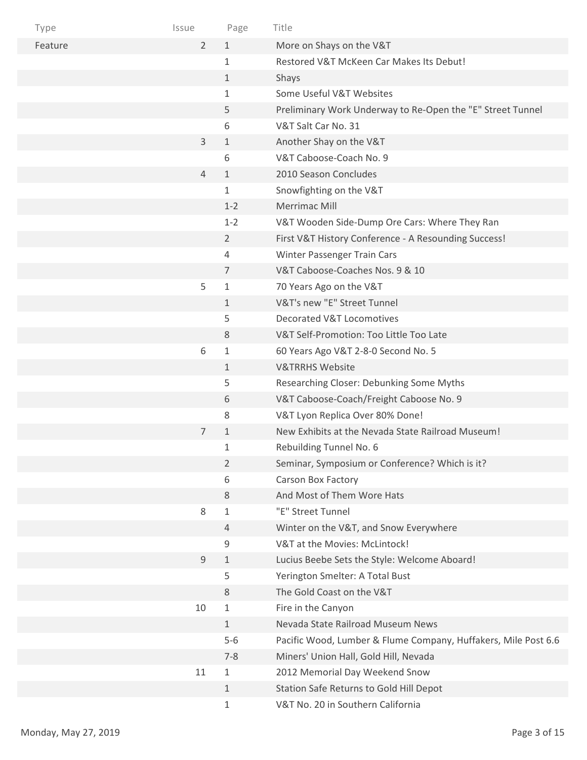| Type    | Issue          | Page           | Title                                                          |
|---------|----------------|----------------|----------------------------------------------------------------|
| Feature | $\overline{2}$ | $1\,$          | More on Shays on the V&T                                       |
|         |                | $\mathbf{1}$   | Restored V&T McKeen Car Makes Its Debut!                       |
|         |                | $\mathbf 1$    | Shays                                                          |
|         |                | 1              | Some Useful V&T Websites                                       |
|         |                | 5              | Preliminary Work Underway to Re-Open the "E" Street Tunnel     |
|         |                | 6              | V&T Salt Car No. 31                                            |
|         | $\mathsf{3}$   | $1\,$          | Another Shay on the V&T                                        |
|         |                | 6              | V&T Caboose-Coach No. 9                                        |
|         | $\overline{4}$ | $\mathbf{1}$   | 2010 Season Concludes                                          |
|         |                | 1              | Snowfighting on the V&T                                        |
|         |                | $1 - 2$        | Merrimac Mill                                                  |
|         |                | $1 - 2$        | V&T Wooden Side-Dump Ore Cars: Where They Ran                  |
|         |                | $\overline{2}$ | First V&T History Conference - A Resounding Success!           |
|         |                | 4              | Winter Passenger Train Cars                                    |
|         |                | 7              | V&T Caboose-Coaches Nos. 9 & 10                                |
|         | 5              | $\mathbf{1}$   | 70 Years Ago on the V&T                                        |
|         |                | $\mathbf{1}$   | V&T's new "E" Street Tunnel                                    |
|         |                | 5              | Decorated V&T Locomotives                                      |
|         |                | 8              | V&T Self-Promotion: Too Little Too Late                        |
|         | 6              | $\mathbf{1}$   | 60 Years Ago V&T 2-8-0 Second No. 5                            |
|         |                | $\mathbf{1}$   | <b>V&amp;TRRHS Website</b>                                     |
|         |                | 5              | Researching Closer: Debunking Some Myths                       |
|         |                | 6              | V&T Caboose-Coach/Freight Caboose No. 9                        |
|         |                | 8              | V&T Lyon Replica Over 80% Done!                                |
|         | $\overline{7}$ | $\mathbf{1}$   | New Exhibits at the Nevada State Railroad Museum!              |
|         |                | 1              | Rebuilding Tunnel No. 6                                        |
|         |                | $\overline{2}$ | Seminar, Symposium or Conference? Which is it?                 |
|         |                | 6              | Carson Box Factory                                             |
|         |                | 8              | And Most of Them Wore Hats                                     |
|         | $\,8\,$        | $\mathbf{1}$   | "E" Street Tunnel                                              |
|         |                | $\overline{4}$ | Winter on the V&T, and Snow Everywhere                         |
|         |                | 9              | V&T at the Movies: McLintock!                                  |
|         | $9\,$          | $\mathbf{1}$   | Lucius Beebe Sets the Style: Welcome Aboard!                   |
|         |                | 5              | Yerington Smelter: A Total Bust                                |
|         |                | 8              | The Gold Coast on the V&T                                      |
|         | 10             | $\mathbf 1$    | Fire in the Canyon                                             |
|         |                | 1              | Nevada State Railroad Museum News                              |
|         |                | $5-6$          | Pacific Wood, Lumber & Flume Company, Huffakers, Mile Post 6.6 |
|         |                | $7 - 8$        | Miners' Union Hall, Gold Hill, Nevada                          |
|         | 11             | 1              | 2012 Memorial Day Weekend Snow                                 |
|         |                | $\mathbf 1$    | Station Safe Returns to Gold Hill Depot                        |
|         |                | $\mathbf 1$    | V&T No. 20 in Southern California                              |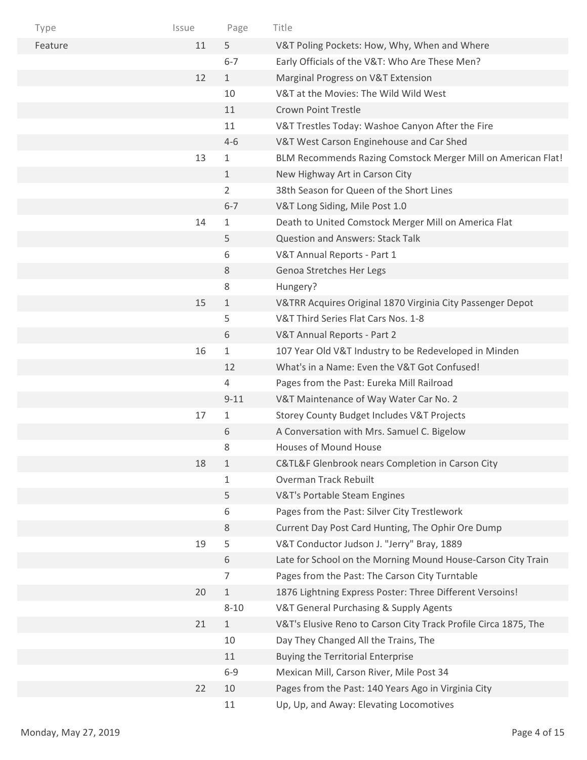| Type    | Issue | Page         | Title                                                           |
|---------|-------|--------------|-----------------------------------------------------------------|
| Feature | 11    | 5            | V&T Poling Pockets: How, Why, When and Where                    |
|         |       | $6 - 7$      | Early Officials of the V&T: Who Are These Men?                  |
|         | 12    | $\mathbf{1}$ | Marginal Progress on V&T Extension                              |
|         |       | 10           | V&T at the Movies: The Wild Wild West                           |
|         |       | 11           | <b>Crown Point Trestle</b>                                      |
|         |       | 11           | V&T Trestles Today: Washoe Canyon After the Fire                |
|         |       | $4 - 6$      | V&T West Carson Enginehouse and Car Shed                        |
|         | 13    | 1            | BLM Recommends Razing Comstock Merger Mill on American Flat!    |
|         |       | $\mathbf{1}$ | New Highway Art in Carson City                                  |
|         |       | 2            | 38th Season for Queen of the Short Lines                        |
|         |       | $6 - 7$      | V&T Long Siding, Mile Post 1.0                                  |
|         | 14    | 1            | Death to United Comstock Merger Mill on America Flat            |
|         |       | 5            | <b>Question and Answers: Stack Talk</b>                         |
|         |       | 6            | V&T Annual Reports - Part 1                                     |
|         |       | 8            | Genoa Stretches Her Legs                                        |
|         |       | 8            | Hungery?                                                        |
|         | 15    | $\mathbf{1}$ | V&TRR Acquires Original 1870 Virginia City Passenger Depot      |
|         |       | 5            | V&T Third Series Flat Cars Nos. 1-8                             |
|         |       | 6            | V&T Annual Reports - Part 2                                     |
|         | 16    | 1            | 107 Year Old V&T Industry to be Redeveloped in Minden           |
|         |       | 12           | What's in a Name: Even the V&T Got Confused!                    |
|         |       | 4            | Pages from the Past: Eureka Mill Railroad                       |
|         |       | $9 - 11$     | V&T Maintenance of Way Water Car No. 2                          |
|         | 17    | 1            | Storey County Budget Includes V&T Projects                      |
|         |       | 6            | A Conversation with Mrs. Samuel C. Bigelow                      |
|         |       | 8            | <b>Houses of Mound House</b>                                    |
|         | 18    | $\mathbf{1}$ | C&TL&F Glenbrook nears Completion in Carson City                |
|         |       | 1            | Overman Track Rebuilt                                           |
|         |       | 5            | V&T's Portable Steam Engines                                    |
|         |       | 6            | Pages from the Past: Silver City Trestlework                    |
|         |       | 8            | Current Day Post Card Hunting, The Ophir Ore Dump               |
|         | 19    | 5            | V&T Conductor Judson J. "Jerry" Bray, 1889                      |
|         |       | 6            | Late for School on the Morning Mound House-Carson City Train    |
|         |       | 7            | Pages from the Past: The Carson City Turntable                  |
|         | 20    | $\mathbf{1}$ | 1876 Lightning Express Poster: Three Different Versoins!        |
|         |       | $8 - 10$     | V&T General Purchasing & Supply Agents                          |
|         | 21    | $\mathbf{1}$ | V&T's Elusive Reno to Carson City Track Profile Circa 1875, The |
|         |       | 10           | Day They Changed All the Trains, The                            |
|         |       | 11           | <b>Buying the Territorial Enterprise</b>                        |
|         |       | $6 - 9$      | Mexican Mill, Carson River, Mile Post 34                        |
|         | 22    | 10           | Pages from the Past: 140 Years Ago in Virginia City             |
|         |       | 11           | Up, Up, and Away: Elevating Locomotives                         |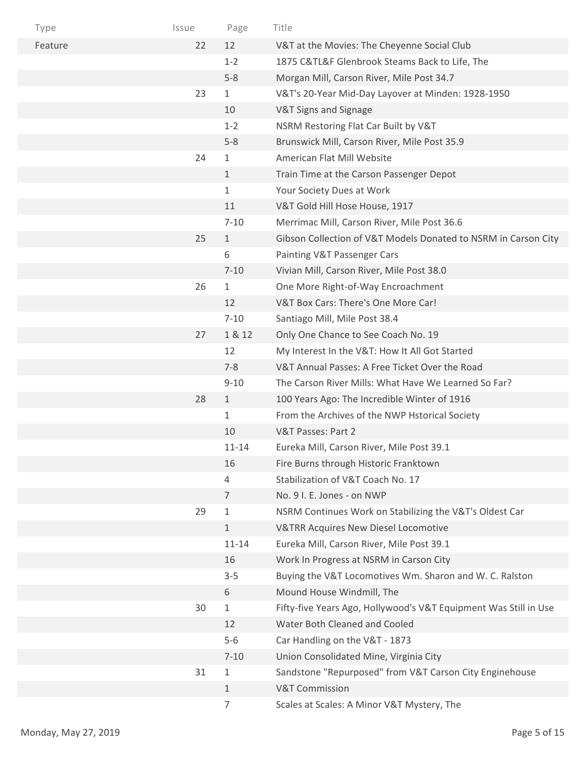| Type    | Issue | Page         | Title                                                            |
|---------|-------|--------------|------------------------------------------------------------------|
| Feature | 22    | 12           | V&T at the Movies: The Cheyenne Social Club                      |
|         |       | $1 - 2$      | 1875 C&TL&F Glenbrook Steams Back to Life, The                   |
|         |       | $5 - 8$      | Morgan Mill, Carson River, Mile Post 34.7                        |
|         | 23    | $\mathbf{1}$ | V&T's 20-Year Mid-Day Layover at Minden: 1928-1950               |
|         |       | 10           | V&T Signs and Signage                                            |
|         |       | $1 - 2$      | NSRM Restoring Flat Car Built by V&T                             |
|         |       | $5 - 8$      | Brunswick Mill, Carson River, Mile Post 35.9                     |
|         | 24    | 1            | American Flat Mill Website                                       |
|         |       | $\mathbf{1}$ | Train Time at the Carson Passenger Depot                         |
|         |       | 1            | Your Society Dues at Work                                        |
|         |       | 11           | V&T Gold Hill Hose House, 1917                                   |
|         |       | $7 - 10$     | Merrimac Mill, Carson River, Mile Post 36.6                      |
|         | 25    | $\mathbf{1}$ | Gibson Collection of V&T Models Donated to NSRM in Carson City   |
|         |       | 6            | Painting V&T Passenger Cars                                      |
|         |       | $7 - 10$     | Vivian Mill, Carson River, Mile Post 38.0                        |
|         | 26    | $\mathbf{1}$ | One More Right-of-Way Encroachment                               |
|         |       | 12           | V&T Box Cars: There's One More Car!                              |
|         |       | $7 - 10$     | Santiago Mill, Mile Post 38.4                                    |
|         | 27    | 1 & 12       | Only One Chance to See Coach No. 19                              |
|         |       | 12           | My Interest In the V&T: How It All Got Started                   |
|         |       | $7 - 8$      | V&T Annual Passes: A Free Ticket Over the Road                   |
|         |       | $9 - 10$     | The Carson River Mills: What Have We Learned So Far?             |
|         | 28    | $\mathbf{1}$ | 100 Years Ago: The Incredible Winter of 1916                     |
|         |       | 1            | From the Archives of the NWP Hstorical Society                   |
|         |       | 10           | V&T Passes: Part 2                                               |
|         |       | 11-14        | Eureka Mill, Carson River, Mile Post 39.1                        |
|         |       | 16           | Fire Burns through Historic Franktown                            |
|         |       | 4            | Stabilization of V&T Coach No. 17                                |
|         |       | 7            | No. 9 I. E. Jones - on NWP                                       |
|         | 29    | 1            | NSRM Continues Work on Stabilizing the V&T's Oldest Car          |
|         |       | $\mathbf 1$  | <b>V&amp;TRR Acquires New Diesel Locomotive</b>                  |
|         |       | $11 - 14$    | Eureka Mill, Carson River, Mile Post 39.1                        |
|         |       | 16           | Work In Progress at NSRM in Carson City                          |
|         |       | $3 - 5$      | Buying the V&T Locomotives Wm. Sharon and W. C. Ralston          |
|         |       | 6            | Mound House Windmill, The                                        |
|         | 30    | 1            | Fifty-five Years Ago, Hollywood's V&T Equipment Was Still in Use |
|         |       | 12           | Water Both Cleaned and Cooled                                    |
|         |       | $5-6$        | Car Handling on the V&T - 1873                                   |
|         |       | $7 - 10$     | Union Consolidated Mine, Virginia City                           |
|         | 31    | 1            | Sandstone "Repurposed" from V&T Carson City Enginehouse          |
|         |       | 1            | <b>V&amp;T Commission</b>                                        |
|         |       | 7            | Scales at Scales: A Minor V&T Mystery, The                       |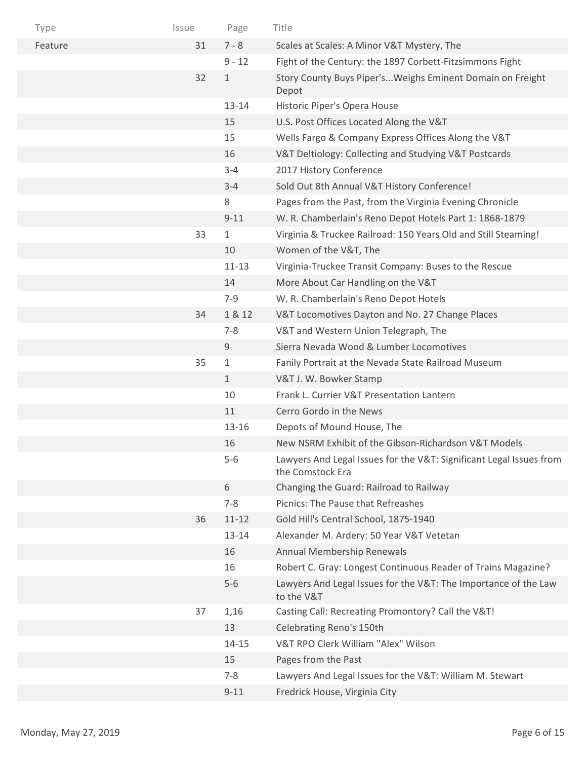| Type    | Issue | Page         | Title                                                                                   |
|---------|-------|--------------|-----------------------------------------------------------------------------------------|
| Feature | 31    | $7 - 8$      | Scales at Scales: A Minor V&T Mystery, The                                              |
|         |       | $9 - 12$     | Fight of the Century: the 1897 Corbett-Fitzsimmons Fight                                |
|         | 32    | $\mathbf{1}$ | Story County Buys Piper'sWeighs Eminent Domain on Freight<br>Depot                      |
|         |       | $13 - 14$    | Historic Piper's Opera House                                                            |
|         |       | 15           | U.S. Post Offices Located Along the V&T                                                 |
|         |       | 15           | Wells Fargo & Company Express Offices Along the V&T                                     |
|         |       | 16           | V&T Deltiology: Collecting and Studying V&T Postcards                                   |
|         |       | $3 - 4$      | 2017 History Conference                                                                 |
|         |       | $3 - 4$      | Sold Out 8th Annual V&T History Conference!                                             |
|         |       | 8            | Pages from the Past, from the Virginia Evening Chronicle                                |
|         |       | $9 - 11$     | W. R. Chamberlain's Reno Depot Hotels Part 1: 1868-1879                                 |
|         | 33    | $\mathbf{1}$ | Virginia & Truckee Railroad: 150 Years Old and Still Steaming!                          |
|         |       | 10           | Women of the V&T, The                                                                   |
|         |       | $11 - 13$    | Virginia-Truckee Transit Company: Buses to the Rescue                                   |
|         |       | 14           | More About Car Handling on the V&T                                                      |
|         |       | $7 - 9$      | W. R. Chamberlain's Reno Depot Hotels                                                   |
|         | 34    | 1 & 12       | V&T Locomotives Dayton and No. 27 Change Places                                         |
|         |       | $7 - 8$      | V&T and Western Union Telegraph, The                                                    |
|         |       | $9\,$        | Sierra Nevada Wood & Lumber Locomotives                                                 |
|         | 35    | $\mathbf{1}$ | Fanily Portrait at the Nevada State Railroad Museum                                     |
|         |       | $\mathbf{1}$ | V&T J. W. Bowker Stamp                                                                  |
|         |       | 10           | Frank L. Currier V&T Presentation Lantern                                               |
|         |       | 11           | Cerro Gordo in the News                                                                 |
|         |       | 13-16        | Depots of Mound House, The                                                              |
|         |       | 16           | New NSRM Exhibit of the Gibson-Richardson V&T Models                                    |
|         |       | $5-6$        | Lawyers And Legal Issues for the V&T: Significant Legal Issues from<br>the Comstock Era |
|         |       | 6            | Changing the Guard: Railroad to Railway                                                 |
|         |       | $7 - 8$      | Picnics: The Pause that Refreashes                                                      |
|         | 36    | $11 - 12$    | Gold Hill's Central School, 1875-1940                                                   |
|         |       | $13 - 14$    | Alexander M. Ardery: 50 Year V&T Vetetan                                                |
|         |       | 16           | Annual Membership Renewals                                                              |
|         |       | 16           | Robert C. Gray: Longest Continuous Reader of Trains Magazine?                           |
|         |       | $5-6$        | Lawyers And Legal Issues for the V&T: The Importance of the Law<br>to the V&T           |
|         | 37    | 1,16         | Casting Call: Recreating Promontory? Call the V&T!                                      |
|         |       | 13           | Celebrating Reno's 150th                                                                |
|         |       | $14 - 15$    | V&T RPO Clerk William "Alex" Wilson                                                     |
|         |       | 15           | Pages from the Past                                                                     |
|         |       | $7 - 8$      | Lawyers And Legal Issues for the V&T: William M. Stewart                                |
|         |       | $9 - 11$     | Fredrick House, Virginia City                                                           |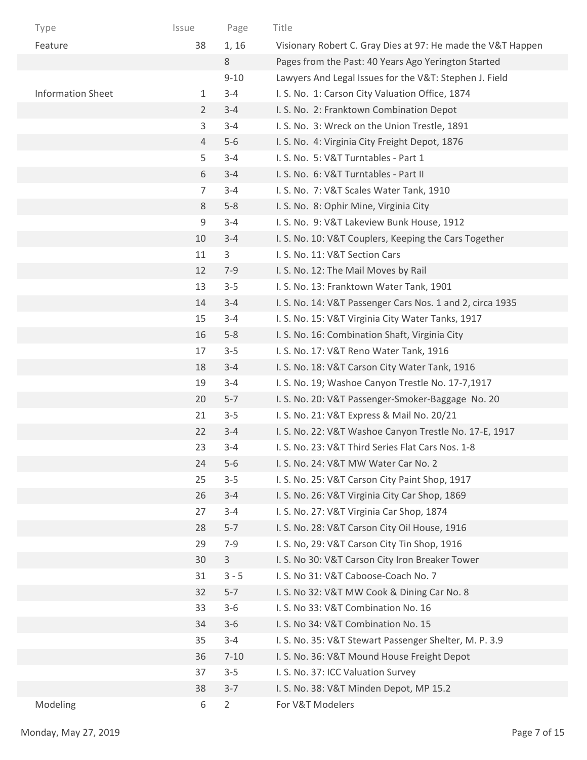| Type                     | Issue          | Page           | Title                                                       |
|--------------------------|----------------|----------------|-------------------------------------------------------------|
| Feature                  | 38             | 1, 16          | Visionary Robert C. Gray Dies at 97: He made the V&T Happen |
|                          |                | $8\,$          | Pages from the Past: 40 Years Ago Yerington Started         |
|                          |                | $9 - 10$       | Lawyers And Legal Issues for the V&T: Stephen J. Field      |
| <b>Information Sheet</b> | $\mathbf{1}$   | $3 - 4$        | I. S. No. 1: Carson City Valuation Office, 1874             |
|                          | $\overline{2}$ | $3 - 4$        | I. S. No. 2: Franktown Combination Depot                    |
|                          | 3              | $3 - 4$        | I. S. No. 3: Wreck on the Union Trestle, 1891               |
|                          | 4              | $5-6$          | I. S. No. 4: Virginia City Freight Depot, 1876              |
|                          | 5              | $3 - 4$        | I. S. No. 5: V&T Turntables - Part 1                        |
|                          | 6              | $3 - 4$        | I. S. No. 6: V&T Turntables - Part II                       |
|                          | $\overline{7}$ | $3 - 4$        | I. S. No. 7: V&T Scales Water Tank, 1910                    |
|                          | 8              | $5-8$          | I. S. No. 8: Ophir Mine, Virginia City                      |
|                          | 9              | $3 - 4$        | I. S. No. 9: V&T Lakeview Bunk House, 1912                  |
|                          | 10             | $3 - 4$        | I. S. No. 10: V&T Couplers, Keeping the Cars Together       |
|                          | 11             | 3              | I. S. No. 11: V&T Section Cars                              |
|                          | 12             | $7 - 9$        | I. S. No. 12: The Mail Moves by Rail                        |
|                          | 13             | $3 - 5$        | I. S. No. 13: Franktown Water Tank, 1901                    |
|                          | 14             | $3 - 4$        | I. S. No. 14: V&T Passenger Cars Nos. 1 and 2, circa 1935   |
|                          | 15             | $3 - 4$        | I. S. No. 15: V&T Virginia City Water Tanks, 1917           |
|                          | 16             | $5 - 8$        | I. S. No. 16: Combination Shaft, Virginia City              |
|                          | 17             | $3 - 5$        | I. S. No. 17: V&T Reno Water Tank, 1916                     |
|                          | 18             | $3 - 4$        | I. S. No. 18: V&T Carson City Water Tank, 1916              |
|                          | 19             | $3 - 4$        | I. S. No. 19; Washoe Canyon Trestle No. 17-7,1917           |
|                          | 20             | $5 - 7$        | I. S. No. 20: V&T Passenger-Smoker-Baggage No. 20           |
|                          | 21             | $3 - 5$        | I. S. No. 21: V&T Express & Mail No. 20/21                  |
|                          | 22             | $3 - 4$        | I. S. No. 22: V&T Washoe Canyon Trestle No. 17-E, 1917      |
|                          | 23             | $3 - 4$        | I. S. No. 23: V&T Third Series Flat Cars Nos. 1-8           |
|                          | 24             | $5-6$          | I. S. No. 24: V&T MW Water Car No. 2                        |
|                          | 25             | $3 - 5$        | I. S. No. 25: V&T Carson City Paint Shop, 1917              |
|                          | 26             | $3 - 4$        | I. S. No. 26: V&T Virginia City Car Shop, 1869              |
|                          | 27             | $3 - 4$        | I. S. No. 27: V&T Virginia Car Shop, 1874                   |
|                          | 28             | $5 - 7$        | I. S. No. 28: V&T Carson City Oil House, 1916               |
|                          | 29             | $7 - 9$        | I. S. No, 29: V&T Carson City Tin Shop, 1916                |
|                          | 30             | $\mathbf{3}$   | I. S. No 30: V&T Carson City Iron Breaker Tower             |
|                          | 31             | $3 - 5$        | I. S. No 31: V&T Caboose-Coach No. 7                        |
|                          | 32             | $5 - 7$        | I. S. No 32: V&T MW Cook & Dining Car No. 8                 |
|                          | 33             | $3 - 6$        | I. S. No 33: V&T Combination No. 16                         |
|                          | 34             | $3 - 6$        | I. S. No 34: V&T Combination No. 15                         |
|                          | 35             | $3 - 4$        | I. S. No. 35: V&T Stewart Passenger Shelter, M. P. 3.9      |
|                          | 36             | $7 - 10$       | I. S. No. 36: V&T Mound House Freight Depot                 |
|                          | 37             | $3 - 5$        | I. S. No. 37: ICC Valuation Survey                          |
|                          | 38             | $3 - 7$        | I. S. No. 38: V&T Minden Depot, MP 15.2                     |
| Modeling                 | 6              | $\overline{2}$ | For V&T Modelers                                            |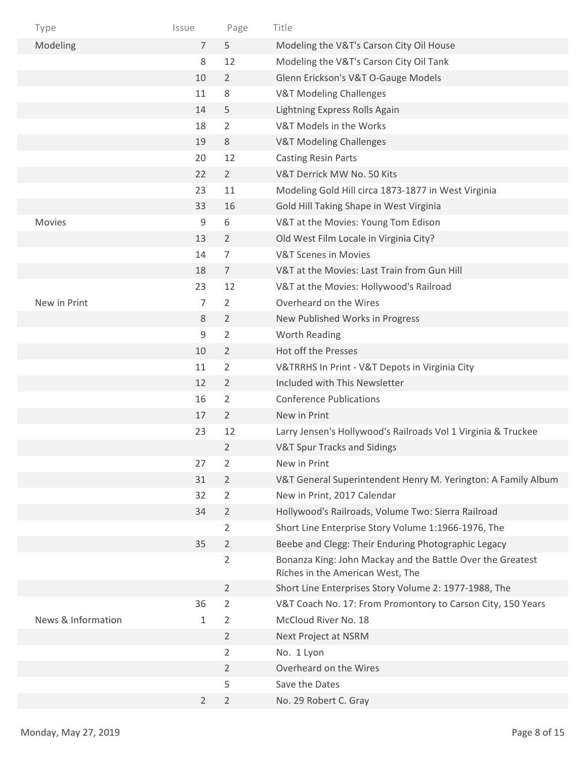| Type               | Issue          | Page           | Title                                                                                          |
|--------------------|----------------|----------------|------------------------------------------------------------------------------------------------|
| Modeling           | $\overline{7}$ | 5              | Modeling the V&T's Carson City Oil House                                                       |
|                    | 8              | 12             | Modeling the V&T's Carson City Oil Tank                                                        |
|                    | 10             | $\overline{2}$ | Glenn Erickson's V&T O-Gauge Models                                                            |
|                    | 11             | 8              | <b>V&amp;T Modeling Challenges</b>                                                             |
|                    | 14             | 5              | Lightning Express Rolls Again                                                                  |
|                    | 18             | $\overline{2}$ | V&T Models in the Works                                                                        |
|                    | 19             | 8              | V&T Modeling Challenges                                                                        |
|                    | 20             | 12             | <b>Casting Resin Parts</b>                                                                     |
|                    | 22             | $2^{\circ}$    | V&T Derrick MW No. 50 Kits                                                                     |
|                    | 23             | 11             | Modeling Gold Hill circa 1873-1877 in West Virginia                                            |
|                    | 33             | 16             | Gold Hill Taking Shape in West Virginia                                                        |
| <b>Movies</b>      | 9              | 6              | V&T at the Movies: Young Tom Edison                                                            |
|                    | 13             | $\overline{2}$ | Old West Film Locale in Virginia City?                                                         |
|                    | 14             | $\overline{7}$ | <b>V&amp;T Scenes in Movies</b>                                                                |
|                    | 18             | $\overline{7}$ | V&T at the Movies: Last Train from Gun Hill                                                    |
|                    | 23             | 12             | V&T at the Movies: Hollywood's Railroad                                                        |
| New in Print       | $\overline{7}$ | $\overline{2}$ | Overheard on the Wires                                                                         |
|                    | $\,8\,$        | $\overline{2}$ | New Published Works in Progress                                                                |
|                    | 9              | $\overline{2}$ | Worth Reading                                                                                  |
|                    | 10             | $\overline{2}$ | Hot off the Presses                                                                            |
|                    | 11             | $\overline{2}$ | V&TRRHS In Print - V&T Depots in Virginia City                                                 |
|                    | 12             | $\overline{2}$ | Included with This Newsletter                                                                  |
|                    | 16             | $\overline{2}$ | <b>Conference Publications</b>                                                                 |
|                    | 17             | $\overline{2}$ | New in Print                                                                                   |
|                    | 23             | 12             | Larry Jensen's Hollywood's Railroads Vol 1 Virginia & Truckee                                  |
|                    |                | $\overline{2}$ | <b>V&amp;T Spur Tracks and Sidings</b>                                                         |
|                    | 27             | $\overline{2}$ | New in Print                                                                                   |
|                    | 31             | $\overline{2}$ | V&T General Superintendent Henry M. Yerington: A Family Album                                  |
|                    | 32             | $\overline{2}$ | New in Print, 2017 Calendar                                                                    |
|                    | 34             | $\overline{2}$ | Hollywood's Railroads, Volume Two: Sierra Railroad                                             |
|                    |                | $\overline{2}$ | Short Line Enterprise Story Volume 1:1966-1976, The                                            |
|                    | 35             | $\overline{2}$ | Beebe and Clegg: Their Enduring Photographic Legacy                                            |
|                    |                | $\overline{2}$ | Bonanza King: John Mackay and the Battle Over the Greatest<br>Riches in the American West, The |
|                    |                | $\overline{2}$ | Short Line Enterprises Story Volume 2: 1977-1988, The                                          |
|                    | 36             | $\overline{2}$ | V&T Coach No. 17: From Promontory to Carson City, 150 Years                                    |
| News & Information | 1              | 2              | McCloud River No. 18                                                                           |
|                    |                | $\overline{2}$ | Next Project at NSRM                                                                           |
|                    |                | $\overline{2}$ | No. 1 Lyon                                                                                     |
|                    |                | $\overline{2}$ | Overheard on the Wires                                                                         |
|                    |                | 5              | Save the Dates                                                                                 |
|                    | $\overline{2}$ | $\overline{2}$ | No. 29 Robert C. Gray                                                                          |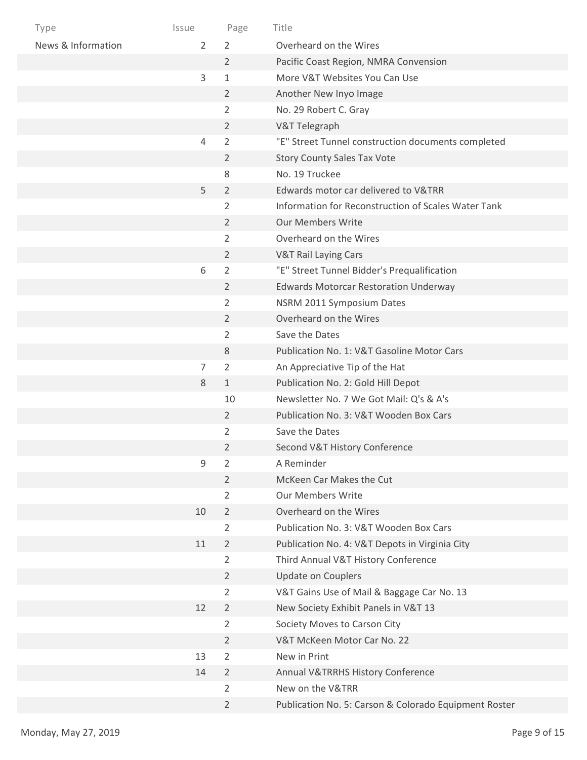| Type               | Issue          | Page           | Title                                                 |
|--------------------|----------------|----------------|-------------------------------------------------------|
| News & Information | 2              | 2              | Overheard on the Wires                                |
|                    |                | $\overline{2}$ | Pacific Coast Region, NMRA Convension                 |
|                    | 3              | $\mathbf{1}$   | More V&T Websites You Can Use                         |
|                    |                | $\overline{2}$ | Another New Inyo Image                                |
|                    |                | 2              | No. 29 Robert C. Gray                                 |
|                    |                | $\overline{2}$ | V&T Telegraph                                         |
|                    | $\overline{4}$ | $\overline{2}$ | "E" Street Tunnel construction documents completed    |
|                    |                | $\overline{2}$ | <b>Story County Sales Tax Vote</b>                    |
|                    |                | 8              | No. 19 Truckee                                        |
|                    | 5              | $\overline{2}$ | Edwards motor car delivered to V&TRR                  |
|                    |                | 2              | Information for Reconstruction of Scales Water Tank   |
|                    |                | $\overline{2}$ | <b>Our Members Write</b>                              |
|                    |                | 2              | Overheard on the Wires                                |
|                    |                | $\overline{2}$ | <b>V&amp;T Rail Laying Cars</b>                       |
|                    | 6              | $\overline{2}$ | "E" Street Tunnel Bidder's Prequalification           |
|                    |                | $\overline{2}$ | <b>Edwards Motorcar Restoration Underway</b>          |
|                    |                | $\overline{2}$ | NSRM 2011 Symposium Dates                             |
|                    |                | $\overline{2}$ | Overheard on the Wires                                |
|                    |                | 2              | Save the Dates                                        |
|                    |                | 8              | Publication No. 1: V&T Gasoline Motor Cars            |
|                    | 7              | $\overline{2}$ | An Appreciative Tip of the Hat                        |
|                    | 8              | $\mathbf{1}$   | Publication No. 2: Gold Hill Depot                    |
|                    |                | 10             | Newsletter No. 7 We Got Mail: Q's & A's               |
|                    |                | $\overline{2}$ | Publication No. 3: V&T Wooden Box Cars                |
|                    |                | 2              | Save the Dates                                        |
|                    |                | 2              | Second V&T History Conference                         |
|                    | 9              | $\overline{2}$ | A Reminder                                            |
|                    |                | $\overline{2}$ | McKeen Car Makes the Cut                              |
|                    |                | $\overline{2}$ | <b>Our Members Write</b>                              |
|                    | 10             | $\overline{2}$ | Overheard on the Wires                                |
|                    |                | $\overline{2}$ | Publication No. 3: V&T Wooden Box Cars                |
|                    | 11             | $\overline{2}$ | Publication No. 4: V&T Depots in Virginia City        |
|                    |                | 2              | Third Annual V&T History Conference                   |
|                    |                | $\overline{2}$ | <b>Update on Couplers</b>                             |
|                    |                | 2              | V&T Gains Use of Mail & Baggage Car No. 13            |
|                    | 12             | $\overline{2}$ | New Society Exhibit Panels in V&T 13                  |
|                    |                | $\overline{2}$ | Society Moves to Carson City                          |
|                    |                | $\overline{2}$ | V&T McKeen Motor Car No. 22                           |
|                    | 13             | $\overline{2}$ | New in Print                                          |
|                    | 14             | $\overline{2}$ | Annual V&TRRHS History Conference                     |
|                    |                | $\overline{2}$ | New on the V&TRR                                      |
|                    |                | $\overline{2}$ | Publication No. 5: Carson & Colorado Equipment Roster |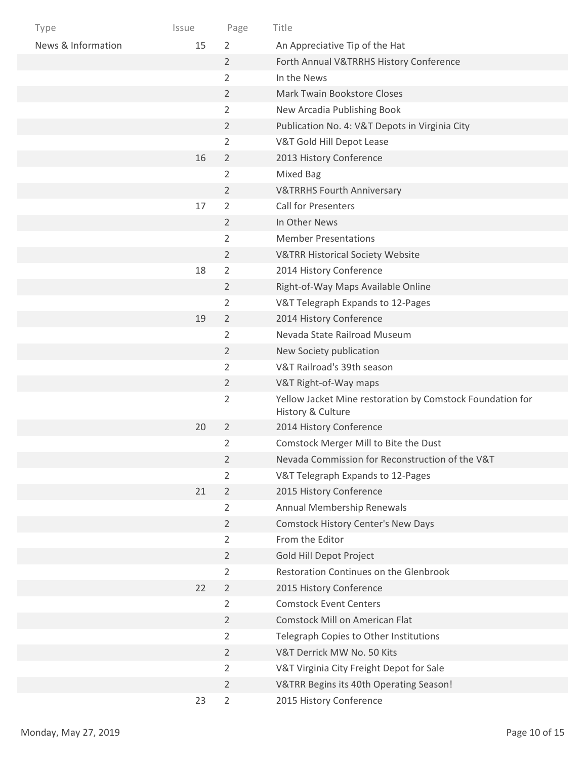| Type               | Issue | Page           | Title                                                                          |
|--------------------|-------|----------------|--------------------------------------------------------------------------------|
| News & Information | 15    | $\overline{2}$ | An Appreciative Tip of the Hat                                                 |
|                    |       | $\overline{2}$ | Forth Annual V&TRRHS History Conference                                        |
|                    |       | $\overline{2}$ | In the News                                                                    |
|                    |       | $\overline{2}$ | <b>Mark Twain Bookstore Closes</b>                                             |
|                    |       | $\overline{2}$ | New Arcadia Publishing Book                                                    |
|                    |       | $\overline{2}$ | Publication No. 4: V&T Depots in Virginia City                                 |
|                    |       | $\overline{2}$ | V&T Gold Hill Depot Lease                                                      |
|                    | 16    | $\overline{2}$ | 2013 History Conference                                                        |
|                    |       | $\overline{2}$ | <b>Mixed Bag</b>                                                               |
|                    |       | $\overline{2}$ | <b>V&amp;TRRHS Fourth Anniversary</b>                                          |
|                    | 17    | $\overline{2}$ | <b>Call for Presenters</b>                                                     |
|                    |       | $\overline{2}$ | In Other News                                                                  |
|                    |       | $\overline{2}$ | <b>Member Presentations</b>                                                    |
|                    |       | $\overline{2}$ | <b>V&amp;TRR Historical Society Website</b>                                    |
|                    | 18    | $\overline{2}$ | 2014 History Conference                                                        |
|                    |       | $\overline{2}$ | Right-of-Way Maps Available Online                                             |
|                    |       | $\overline{2}$ | V&T Telegraph Expands to 12-Pages                                              |
|                    | 19    | $\overline{2}$ | 2014 History Conference                                                        |
|                    |       | $\overline{2}$ | Nevada State Railroad Museum                                                   |
|                    |       | $\overline{2}$ | New Society publication                                                        |
|                    |       | $\overline{2}$ | V&T Railroad's 39th season                                                     |
|                    |       | $\overline{2}$ | V&T Right-of-Way maps                                                          |
|                    |       | $\overline{2}$ | Yellow Jacket Mine restoration by Comstock Foundation for<br>History & Culture |
|                    | 20    | $\overline{2}$ | 2014 History Conference                                                        |
|                    |       | $\overline{2}$ | Comstock Merger Mill to Bite the Dust                                          |
|                    |       | $\overline{2}$ | Nevada Commission for Reconstruction of the V&T                                |
|                    |       | $\overline{2}$ | V&T Telegraph Expands to 12-Pages                                              |
|                    | 21    | $\overline{2}$ | 2015 History Conference                                                        |
|                    |       | $\overline{2}$ | Annual Membership Renewals                                                     |
|                    |       | $\overline{2}$ | Comstock History Center's New Days                                             |
|                    |       | $\overline{2}$ | From the Editor                                                                |
|                    |       | $\overline{2}$ | Gold Hill Depot Project                                                        |
|                    |       | $\overline{2}$ | Restoration Continues on the Glenbrook                                         |
|                    | 22    | $\overline{2}$ | 2015 History Conference                                                        |
|                    |       | $\overline{2}$ | <b>Comstock Event Centers</b>                                                  |
|                    |       | $\overline{2}$ | <b>Comstock Mill on American Flat</b>                                          |
|                    |       | $\overline{2}$ | Telegraph Copies to Other Institutions                                         |
|                    |       | $\overline{2}$ | V&T Derrick MW No. 50 Kits                                                     |
|                    |       | $\overline{2}$ | V&T Virginia City Freight Depot for Sale                                       |
|                    |       | $\overline{2}$ | V&TRR Begins its 40th Operating Season!                                        |
|                    | 23    | $\overline{2}$ | 2015 History Conference                                                        |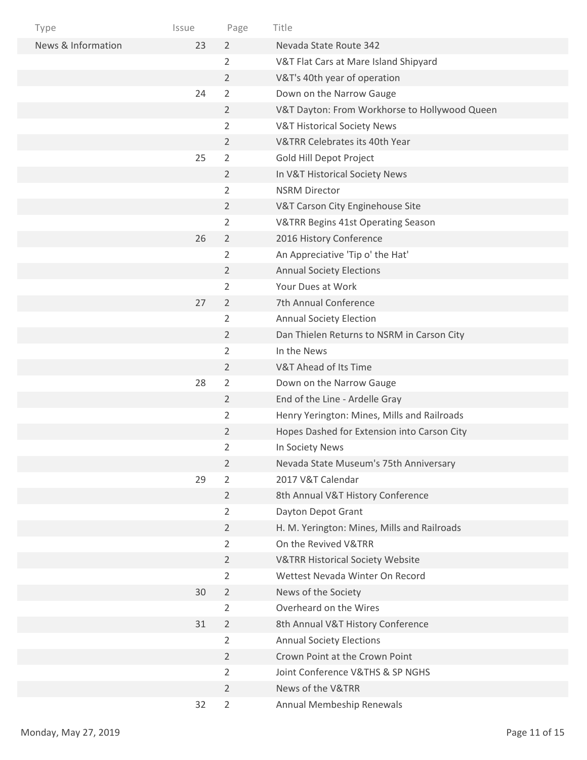| Type               | Issue | Page           | Title                                         |
|--------------------|-------|----------------|-----------------------------------------------|
| News & Information | 23    | $\overline{2}$ | Nevada State Route 342                        |
|                    |       | $\overline{2}$ | V&T Flat Cars at Mare Island Shipyard         |
|                    |       | $\overline{2}$ | V&T's 40th year of operation                  |
|                    | 24    | $\overline{2}$ | Down on the Narrow Gauge                      |
|                    |       | $\overline{2}$ | V&T Dayton: From Workhorse to Hollywood Queen |
|                    |       | 2              | <b>V&amp;T Historical Society News</b>        |
|                    |       | $\overline{2}$ | V&TRR Celebrates its 40th Year                |
|                    | 25    | 2              | Gold Hill Depot Project                       |
|                    |       | $\overline{2}$ | In V&T Historical Society News                |
|                    |       | $\overline{2}$ | <b>NSRM Director</b>                          |
|                    |       | $\overline{2}$ | V&T Carson City Enginehouse Site              |
|                    |       | $\overline{2}$ | V&TRR Begins 41st Operating Season            |
|                    | 26    | $\overline{2}$ | 2016 History Conference                       |
|                    |       | 2              | An Appreciative 'Tip o' the Hat'              |
|                    |       | $\overline{2}$ | <b>Annual Society Elections</b>               |
|                    |       | $\overline{2}$ | Your Dues at Work                             |
|                    | 27    | 2              | 7th Annual Conference                         |
|                    |       | 2              | <b>Annual Society Election</b>                |
|                    |       | $\overline{2}$ | Dan Thielen Returns to NSRM in Carson City    |
|                    |       | 2              | In the News                                   |
|                    |       | $\overline{2}$ | V&T Ahead of Its Time                         |
|                    | 28    | $\overline{2}$ | Down on the Narrow Gauge                      |
|                    |       | $\overline{2}$ | End of the Line - Ardelle Gray                |
|                    |       | 2              | Henry Yerington: Mines, Mills and Railroads   |
|                    |       | $\overline{2}$ | Hopes Dashed for Extension into Carson City   |
|                    |       | 2              | In Society News                               |
|                    |       | $\overline{2}$ | Nevada State Museum's 75th Anniversary        |
|                    | 29    | $\overline{2}$ | 2017 V&T Calendar                             |
|                    |       | $\overline{2}$ | 8th Annual V&T History Conference             |
|                    |       | $\overline{2}$ | Dayton Depot Grant                            |
|                    |       | $\overline{2}$ | H. M. Yerington: Mines, Mills and Railroads   |
|                    |       | $\overline{2}$ | On the Revived V&TRR                          |
|                    |       | $\overline{2}$ | <b>V&amp;TRR Historical Society Website</b>   |
|                    |       | $\overline{2}$ | Wettest Nevada Winter On Record               |
|                    | 30    | $\overline{2}$ | News of the Society                           |
|                    |       | $\overline{2}$ | Overheard on the Wires                        |
|                    | 31    | $\overline{2}$ | 8th Annual V&T History Conference             |
|                    |       | 2              | <b>Annual Society Elections</b>               |
|                    |       | $\overline{2}$ | Crown Point at the Crown Point                |
|                    |       | $\overline{2}$ | Joint Conference V&THS & SP NGHS              |
|                    |       | $\overline{2}$ | News of the V&TRR                             |
|                    | 32    | $\overline{2}$ | Annual Membeship Renewals                     |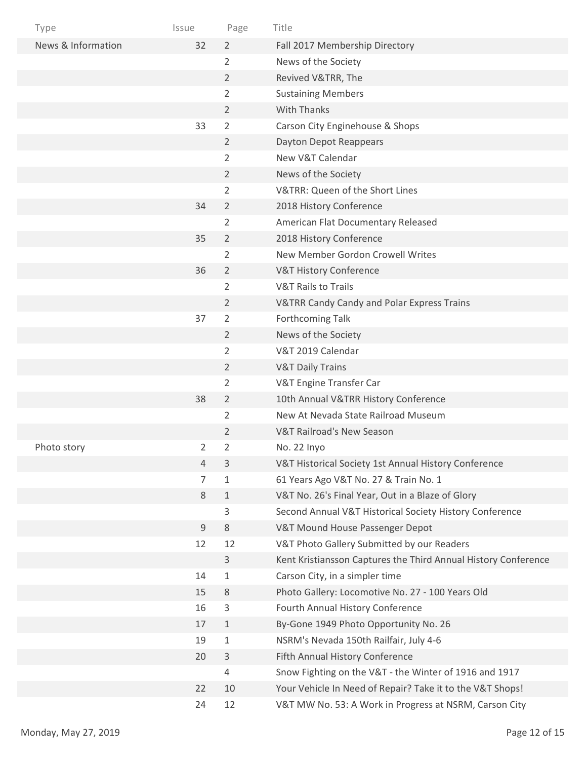| Type               | Issue | Page           | Title                                                          |
|--------------------|-------|----------------|----------------------------------------------------------------|
| News & Information | 32    | $\overline{2}$ | Fall 2017 Membership Directory                                 |
|                    |       | $\overline{2}$ | News of the Society                                            |
|                    |       | $\overline{2}$ | Revived V&TRR, The                                             |
|                    |       | $\overline{2}$ | <b>Sustaining Members</b>                                      |
|                    |       | $\overline{2}$ | <b>With Thanks</b>                                             |
|                    | 33    | $\overline{2}$ | Carson City Enginehouse & Shops                                |
|                    |       | $\overline{2}$ | Dayton Depot Reappears                                         |
|                    |       | 2              | New V&T Calendar                                               |
|                    |       | $\overline{2}$ | News of the Society                                            |
|                    |       | $\overline{2}$ | V&TRR: Queen of the Short Lines                                |
|                    | 34    | $\overline{2}$ | 2018 History Conference                                        |
|                    |       | $\overline{2}$ | American Flat Documentary Released                             |
|                    | 35    | $\overline{2}$ | 2018 History Conference                                        |
|                    |       | 2              | New Member Gordon Crowell Writes                               |
|                    | 36    | $\overline{2}$ | <b>V&amp;T History Conference</b>                              |
|                    |       | $\overline{2}$ | <b>V&amp;T Rails to Trails</b>                                 |
|                    |       | $\overline{2}$ | <b>V&amp;TRR Candy Candy and Polar Express Trains</b>          |
|                    | 37    | 2              | Forthcoming Talk                                               |
|                    |       | $\overline{2}$ | News of the Society                                            |
|                    |       | $\overline{2}$ | V&T 2019 Calendar                                              |
|                    |       | $\overline{2}$ | <b>V&amp;T Daily Trains</b>                                    |
|                    |       | $\overline{2}$ | V&T Engine Transfer Car                                        |
|                    | 38    | $\overline{2}$ | 10th Annual V&TRR History Conference                           |
|                    |       | 2              | New At Nevada State Railroad Museum                            |
|                    |       | 2              | V&T Railroad's New Season                                      |
| Photo story        | 2     | $\overline{2}$ | No. 22 Inyo                                                    |
|                    | 4     | $\mathbf{3}$   | V&T Historical Society 1st Annual History Conference           |
|                    | 7     | $\mathbf{1}$   | 61 Years Ago V&T No. 27 & Train No. 1                          |
|                    | 8     | $\mathbf{1}$   | V&T No. 26's Final Year, Out in a Blaze of Glory               |
|                    |       | 3              | Second Annual V&T Historical Society History Conference        |
|                    | $9\,$ | $\,8\,$        | V&T Mound House Passenger Depot                                |
|                    | 12    | 12             | V&T Photo Gallery Submitted by our Readers                     |
|                    |       | $\mathbf{3}$   | Kent Kristiansson Captures the Third Annual History Conference |
|                    | 14    | $\mathbf{1}$   | Carson City, in a simpler time                                 |
|                    | 15    | $\,8\,$        | Photo Gallery: Locomotive No. 27 - 100 Years Old               |
|                    | 16    | $\mathsf 3$    | Fourth Annual History Conference                               |
|                    | 17    | $\mathbf{1}$   | By-Gone 1949 Photo Opportunity No. 26                          |
|                    | 19    | $\mathbf{1}$   | NSRM's Nevada 150th Railfair, July 4-6                         |
|                    | 20    | $\mathsf 3$    | Fifth Annual History Conference                                |
|                    |       | $\overline{4}$ | Snow Fighting on the V&T - the Winter of 1916 and 1917         |
|                    | 22    | 10             | Your Vehicle In Need of Repair? Take it to the V&T Shops!      |
|                    | 24    | 12             | V&T MW No. 53: A Work in Progress at NSRM, Carson City         |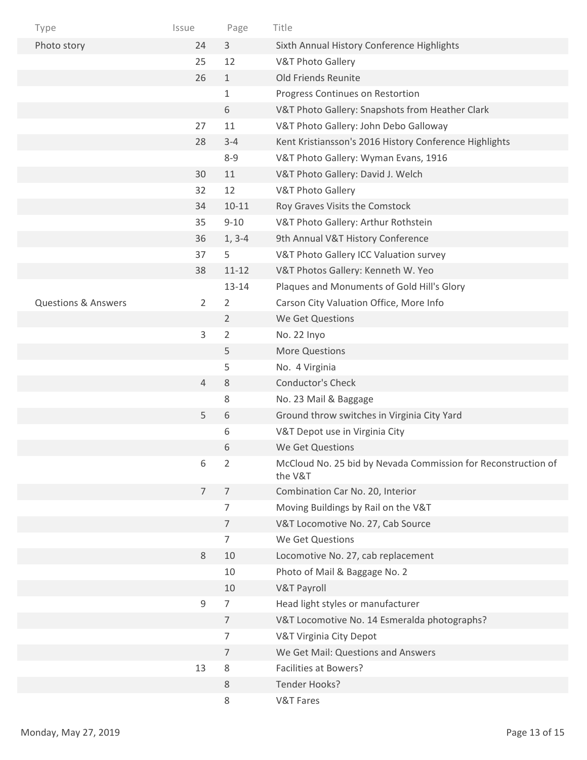| Type                           | Issue          | Page           | Title                                                                    |
|--------------------------------|----------------|----------------|--------------------------------------------------------------------------|
| Photo story                    | 24             | 3              | Sixth Annual History Conference Highlights                               |
|                                | 25             | 12             | <b>V&amp;T Photo Gallery</b>                                             |
|                                | 26             | $\mathbf{1}$   | Old Friends Reunite                                                      |
|                                |                | 1              | Progress Continues on Restortion                                         |
|                                |                | 6              | V&T Photo Gallery: Snapshots from Heather Clark                          |
|                                | 27             | 11             | V&T Photo Gallery: John Debo Galloway                                    |
|                                | 28             | $3 - 4$        | Kent Kristiansson's 2016 History Conference Highlights                   |
|                                |                | $8 - 9$        | V&T Photo Gallery: Wyman Evans, 1916                                     |
|                                | 30             | 11             | V&T Photo Gallery: David J. Welch                                        |
|                                | 32             | 12             | <b>V&amp;T Photo Gallery</b>                                             |
|                                | 34             | $10 - 11$      | Roy Graves Visits the Comstock                                           |
|                                | 35             | $9 - 10$       | V&T Photo Gallery: Arthur Rothstein                                      |
|                                | 36             | $1, 3-4$       | 9th Annual V&T History Conference                                        |
|                                | 37             | 5              | V&T Photo Gallery ICC Valuation survey                                   |
|                                | 38             | $11 - 12$      | V&T Photos Gallery: Kenneth W. Yeo                                       |
|                                |                | $13 - 14$      | Plaques and Monuments of Gold Hill's Glory                               |
| <b>Questions &amp; Answers</b> | $\overline{2}$ | $\overline{2}$ | Carson City Valuation Office, More Info                                  |
|                                |                | $\overline{2}$ | We Get Questions                                                         |
|                                | 3              | 2              | No. 22 Inyo                                                              |
|                                |                | 5              | <b>More Questions</b>                                                    |
|                                |                | 5              | No. 4 Virginia                                                           |
|                                | $\overline{4}$ | 8              | Conductor's Check                                                        |
|                                |                | 8              | No. 23 Mail & Baggage                                                    |
|                                | 5              | 6              | Ground throw switches in Virginia City Yard                              |
|                                |                | 6              | V&T Depot use in Virginia City                                           |
|                                |                | 6              | We Get Questions                                                         |
|                                | 6              | $\overline{2}$ | McCloud No. 25 bid by Nevada Commission for Reconstruction of<br>the V&T |
|                                | $\overline{7}$ | $\overline{7}$ | Combination Car No. 20, Interior                                         |
|                                |                | 7              | Moving Buildings by Rail on the V&T                                      |
|                                |                | 7              | V&T Locomotive No. 27, Cab Source                                        |
|                                |                | $\overline{7}$ | We Get Questions                                                         |
|                                | 8              | 10             | Locomotive No. 27, cab replacement                                       |
|                                |                | 10             | Photo of Mail & Baggage No. 2                                            |
|                                |                | 10             | <b>V&amp;T Payroll</b>                                                   |
|                                | 9              | $\overline{7}$ | Head light styles or manufacturer                                        |
|                                |                | $\overline{7}$ | V&T Locomotive No. 14 Esmeralda photographs?                             |
|                                |                | 7              | V&T Virginia City Depot                                                  |
|                                |                | 7              | We Get Mail: Questions and Answers                                       |
|                                | 13             | 8              | <b>Facilities at Bowers?</b>                                             |
|                                |                | 8              | Tender Hooks?                                                            |
|                                |                | 8              | <b>V&amp;T Fares</b>                                                     |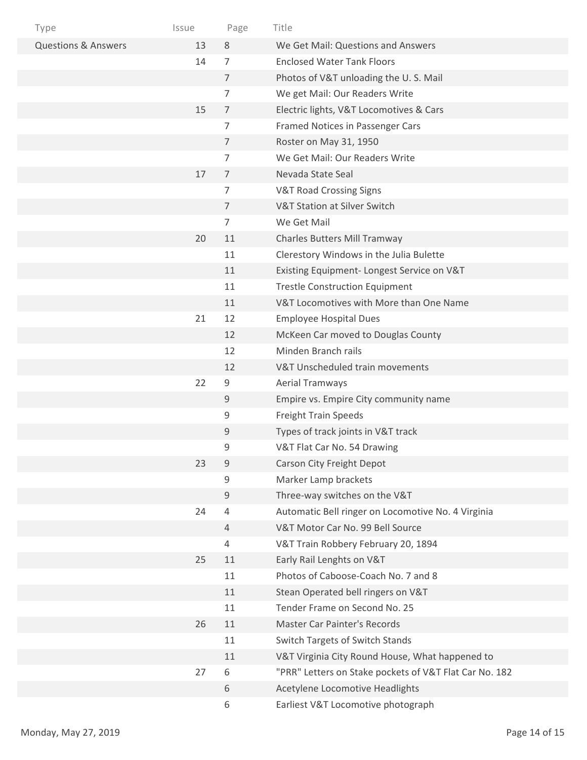| Type                           | Issue | Page           | Title                                                  |
|--------------------------------|-------|----------------|--------------------------------------------------------|
| <b>Questions &amp; Answers</b> | 13    | 8              | We Get Mail: Questions and Answers                     |
|                                | 14    | $\overline{7}$ | <b>Enclosed Water Tank Floors</b>                      |
|                                |       | $\overline{7}$ | Photos of V&T unloading the U.S. Mail                  |
|                                |       | 7              | We get Mail: Our Readers Write                         |
|                                | 15    | $\overline{7}$ | Electric lights, V&T Locomotives & Cars                |
|                                |       | 7              | Framed Notices in Passenger Cars                       |
|                                |       | $\overline{7}$ | Roster on May 31, 1950                                 |
|                                |       | 7              | We Get Mail: Our Readers Write                         |
|                                | 17    | $\overline{7}$ | Nevada State Seal                                      |
|                                |       | 7              | <b>V&amp;T Road Crossing Signs</b>                     |
|                                |       | $\overline{7}$ | V&T Station at Silver Switch                           |
|                                |       | $\overline{7}$ | We Get Mail                                            |
|                                | 20    | 11             | <b>Charles Butters Mill Tramway</b>                    |
|                                |       | 11             | Clerestory Windows in the Julia Bulette                |
|                                |       | 11             | Existing Equipment- Longest Service on V&T             |
|                                |       | 11             | <b>Trestle Construction Equipment</b>                  |
|                                |       | 11             | V&T Locomotives with More than One Name                |
|                                | 21    | 12             | <b>Employee Hospital Dues</b>                          |
|                                |       | 12             | McKeen Car moved to Douglas County                     |
|                                |       | 12             | Minden Branch rails                                    |
|                                |       | 12             | V&T Unscheduled train movements                        |
|                                | 22    | $9\,$          | <b>Aerial Tramways</b>                                 |
|                                |       | 9              | Empire vs. Empire City community name                  |
|                                |       | 9              | <b>Freight Train Speeds</b>                            |
|                                |       | 9              | Types of track joints in V&T track                     |
|                                |       | 9              | V&T Flat Car No. 54 Drawing                            |
|                                | 23    | 9              | Carson City Freight Depot                              |
|                                |       | 9              | Marker Lamp brackets                                   |
|                                |       | 9              | Three-way switches on the V&T                          |
|                                | 24    | $\overline{4}$ | Automatic Bell ringer on Locomotive No. 4 Virginia     |
|                                |       | 4              | V&T Motor Car No. 99 Bell Source                       |
|                                |       | 4              | V&T Train Robbery February 20, 1894                    |
|                                | 25    | 11             | Early Rail Lenghts on V&T                              |
|                                |       | 11             | Photos of Caboose-Coach No. 7 and 8                    |
|                                |       | 11             | Stean Operated bell ringers on V&T                     |
|                                |       | 11             | Tender Frame on Second No. 25                          |
|                                | 26    | 11             | <b>Master Car Painter's Records</b>                    |
|                                |       | 11             | Switch Targets of Switch Stands                        |
|                                |       | 11             | V&T Virginia City Round House, What happened to        |
|                                | 27    | 6              | "PRR" Letters on Stake pockets of V&T Flat Car No. 182 |
|                                |       | $\,6\,$        | Acetylene Locomotive Headlights                        |
|                                |       | 6              | Earliest V&T Locomotive photograph                     |